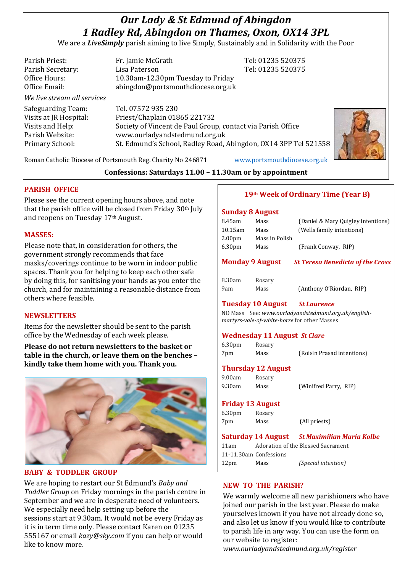# *Our Lady & St Edmund of Abingdon 1 Radley Rd, Abingdon on Thames, Oxon, OX14 3PL*

We are a *LiveSimply* parish aiming to live Simply, Sustainably and in Solidarity with the Poor

| Parish Priest:              | Fr. Jamie McGrath                                               | Tel: 01235 520375 |  |
|-----------------------------|-----------------------------------------------------------------|-------------------|--|
| Parish Secretary:           | Lisa Paterson                                                   | Tel: 01235 520375 |  |
| Office Hours:               | 10.30am-12.30pm Tuesday to Friday                               |                   |  |
| Office Email:               | abingdon@portsmouthdiocese.org.uk                               |                   |  |
| We live stream all services |                                                                 |                   |  |
| Safeguarding Team:          | Tel. 07572 935 230                                              |                   |  |
| Visits at JR Hospital:      | Priest/Chaplain 01865 221732                                    |                   |  |
| Visits and Help:            | Society of Vincent de Paul Group, contact via Parish Office     |                   |  |
| Parish Website:             | www.ourladyandstedmund.org.uk                                   |                   |  |
| Primary School:             | St. Edmund's School, Radley Road, Abingdon, OX14 3PP Tel 521558 |                   |  |
|                             |                                                                 |                   |  |

Roman Catholic Diocese of Portsmouth Reg. Charity No 246871 [www.portsmouthdiocese.org.uk](http://www.portsmouthdiocese.org.uk/)

## **Confessions: Saturdays 11.00 – 11.30am or by appointment**

## **PARISH OFFICE**

Please see the current opening hours above, and note that the parish office will be closed from Friday 30th July and reopens on Tuesday 17th August.

#### **MASSES:**

Please note that, in consideration for others, the government strongly recommends that face masks/coverings continue to be worn in indoor public spaces. Thank you for helping to keep each other safe by doing this, for sanitising your hands as you enter the church, and for maintaining a reasonable distance from others where feasible.

## **NEWSLETTERS**

Items for the newsletter should be sent to the parish office by the Wednesday of each week please.

**Please do not return newsletters to the basket or table in the church, or leave them on the benches – kindly take them home with you. Thank you.**



**BABY & TODDLER GROUP**

We are hoping to restart our St Edmund's *Baby and Toddler Group* on Friday mornings in the parish centre in September and we are in desperate need of volunteers. We especially need help setting up before the sessions start at 9.30am. It would not be every Friday as it is in term time only. Please contact Karen on 01235 555167 or email *kazy@sky.com* if you can help or would like to know more.

# **19th Week of Ordinary Time (Year B)**

#### **Sunday 8 August**

| 8.45am                 | Mass           | (Daniel & Mary Quigley intentions)      |
|------------------------|----------------|-----------------------------------------|
| $10.15$ am             | Mass           | (Wells family intentions)               |
| 2.00 <sub>pm</sub>     | Mass in Polish |                                         |
| 6.30 <sub>pm</sub>     | Mass           | (Frank Conway, RIP)                     |
|                        |                |                                         |
|                        |                |                                         |
| <b>Monday 9 August</b> |                | <b>St Teresa Benedicta of the Cross</b> |
|                        |                |                                         |
| 8.30am                 | Rosary         |                                         |
| 9am                    | Mass           | (Anthony O'Riordan, RIP)                |

#### **Tuesday 10 August** *St Laurence*

NO Mass See: *www.ourladyandstedmund.org.uk/englishmartyrs-vale-of-white-horse* for other Masses

## **Wednesday 11 August** *St Clare*

| 6.30 <sub>pm</sub> | Rosary |                            |
|--------------------|--------|----------------------------|
| 7pm                | Mass   | (Roisin Prasad intentions) |

## **Thursday 12 August**

| 9.00am | Rosary |                       |  |
|--------|--------|-----------------------|--|
| 9.30am | Mass   | (Winifred Parry, RIP) |  |

## **Friday 13 August**

| 6.30 <sub>pm</sub> | Rosary |               |
|--------------------|--------|---------------|
| 7pm                | Mass   | (All priests) |

**Saturday 14 August** *St Maximilian Maria Kolbe* 11am Adoration of the Blessed Sacrament 11-11.30am Confessions 12pm Mass *(Special intention)*

## **NEW TO THE PARISH?**

We warmly welcome all new parishioners who have joined our parish in the last year. Please do make yourselves known if you have not already done so, and also let us know if you would like to contribute to parish life in any way. You can use the form on our website to register:

*www.ourladyandstedmund.org.uk/register*